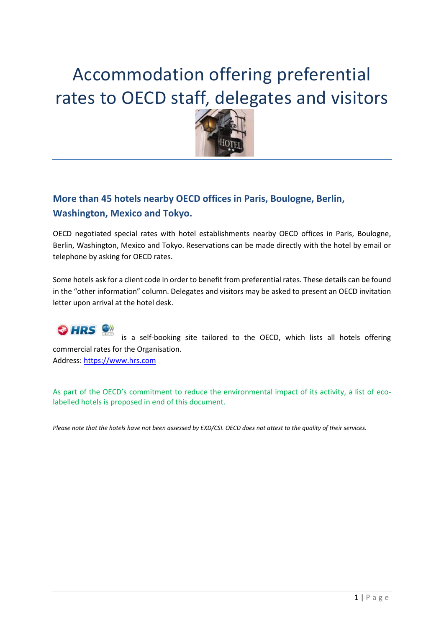# Accommodation offering preferential rates to OECD staff, delegates and visitors



#### <span id="page-0-0"></span>**More than 45 hotels nearby OECD offices in Paris, Boulogne, Berlin, Washington, Mexico and Tokyo.**

OECD negotiated special rates with hotel establishments nearby OECD offices in Paris, Boulogne, Berlin, Washington, Mexico and Tokyo. Reservations can be made directly with the hotel by email or telephone by asking for OECD rates.

Some hotels ask for a client code in order to benefit from preferential rates. These details can be found in the "other information" column. Delegates and visitors may be asked to present an OECD invitation letter upon arrival at the hotel desk.

#### **OHRS** is a self-booking site tailored to the OECD, which lists all hotels offering commercial rates for the Organisation. Address: [https://www.hrs.com](https://www.hrs.com/web3/showHomepage.do?clientId=ZW5fX09DREU-&cid=64-4&clientConfigId=57370ccd-778e-3547-aa28-d485434c7d84&activity=show&differentLanguage=true)

As part of the OECD's commitment to reduce the environmental impact of its activity, a list of ecolabelled hotels is proposed in end of this document.

*Please note that the hotels have not been assessed by EXD/CSI. OECD does not attest to the quality of their services.*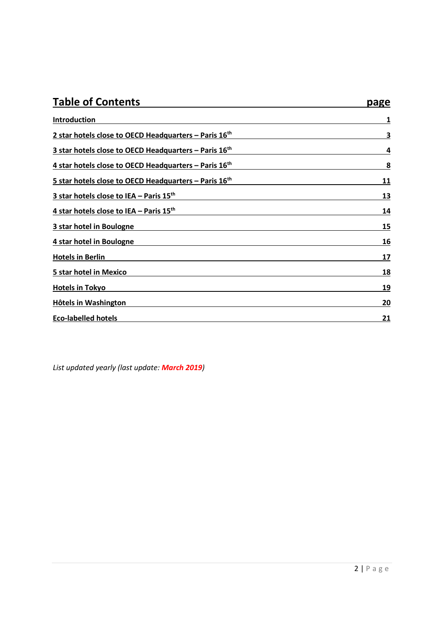<span id="page-1-0"></span>

| <b>Table of Contents</b>                                          | page |
|-------------------------------------------------------------------|------|
| Introduction                                                      | 1    |
| 2 star hotels close to OECD Headquarters - Paris 16th             | 3    |
| 3 star hotels close to OECD Headquarters - Paris 16 <sup>th</sup> | 4    |
| 4 star hotels close to OECD Headquarters - Paris 16 <sup>th</sup> | 8    |
| 5 star hotels close to OECD Headquarters - Paris 16th             | 11   |
| 3 star hotels close to IEA - Paris 15 <sup>th</sup>               | 13   |
| 4 star hotels close to IEA - Paris 15th                           | 14   |
| 3 star hotel in Boulogne                                          | 15   |
| 4 star hotel in Boulogne                                          | 16   |
| <b>Hotels in Berlin</b>                                           | 17   |
| 5 star hotel in Mexico                                            | 18   |
| <b>Hotels in Tokyo</b>                                            | 19   |
| <b>Hôtels in Washington</b>                                       | 20   |
| <b>Eco-labelled hotels</b>                                        | 21   |

*List updated yearly (last update: March 2019)*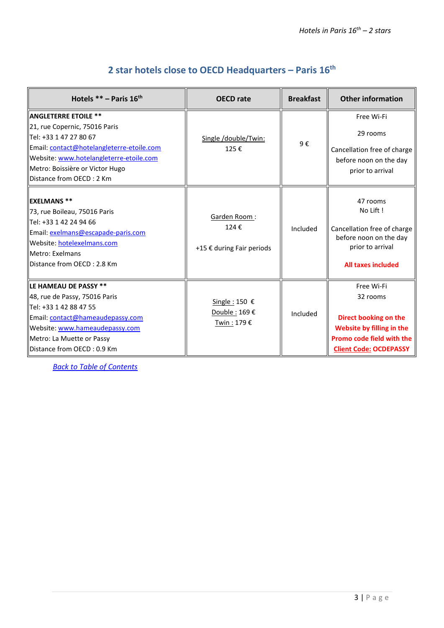<span id="page-2-0"></span>

| Hotels $**$ – Paris $16th$                                                                                                                                                                                                                    | <b>OECD</b> rate                                  | <b>Breakfast</b> | <b>Other information</b>                                                                                                                   |
|-----------------------------------------------------------------------------------------------------------------------------------------------------------------------------------------------------------------------------------------------|---------------------------------------------------|------------------|--------------------------------------------------------------------------------------------------------------------------------------------|
| <b>ANGLETERRE ETOILE **</b><br>21, rue Copernic, 75016 Paris<br>Tel: +33 1 47 27 80 67<br>Email: contact@hotelangleterre-etoile.com<br>Website: www.hotelangleterre-etoile.com<br>Metro: Boissière or Victor Hugo<br>Distance from OECD: 2 Km | Single /double/Twin:<br>125€                      | 9€               | Free Wi-Fi<br>29 rooms<br>Cancellation free of charge<br>before noon on the day<br>prior to arrival                                        |
| <b>EXELMANS **</b><br>73, rue Boileau, 75016 Paris<br>llTel: +33 1 42 24 94 66<br>Email: exelmans@escapade-paris.com<br>Website: hotelexelmans.com<br>llMetro: Exelmans<br>llDistance from OECD : 2.8 Km                                      | Garden Room:<br>124€<br>+15 € during Fair periods | Included         | 47 rooms<br>No Lift!<br>Cancellation free of charge<br>before noon on the day<br>prior to arrival<br><b>All taxes included</b>             |
| LE HAMEAU DE PASSY **<br>48, rue de Passy, 75016 Paris<br>lTel: +33 1 42 88 47 55<br>Email: contact@hameaudepassy.com<br>Website: www.hameaudepassy.com<br>Metro: La Muette or Passy<br>Distance from OECD: 0.9 Km                            | Single : 150 €<br>Double: 169€<br>Twin: 179€      | Included         | Free Wi-Fi<br>32 rooms<br>Direct booking on the<br>Website by filling in the<br>Promo code field with the<br><b>Client Code: OCDEPASSY</b> |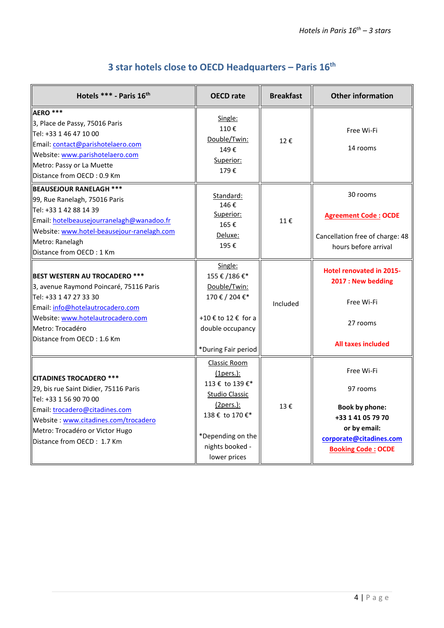<span id="page-3-0"></span>

| Hotels *** - Paris 16th                                                                                                                                                                                                                      | <b>OECD</b> rate                                                                                                                                                          | <b>Breakfast</b> | <b>Other information</b>                                                                                                              |
|----------------------------------------------------------------------------------------------------------------------------------------------------------------------------------------------------------------------------------------------|---------------------------------------------------------------------------------------------------------------------------------------------------------------------------|------------------|---------------------------------------------------------------------------------------------------------------------------------------|
| AERO ***<br>3, Place de Passy, 75016 Paris<br>Tel: +33 1 46 47 10 00<br>Email: contact@parishotelaero.com<br>Website: www.parishotelaero.com<br>Metro: Passy or La Muette<br>Distance from OECD: 0.9 Km                                      | Single:<br>110€<br>Double/Twin:<br>149€<br>Superior:<br>179€                                                                                                              | 12€              | Free Wi-Fi<br>14 rooms                                                                                                                |
| <b>BEAUSEJOUR RANELAGH ***</b><br>99, Rue Ranelagh, 75016 Paris<br>Tel: +33 1 42 88 14 39<br>Email: hotelbeausejourranelagh@wanadoo.fr<br>Website: www.hotel-beausejour-ranelagh.com<br>Metro: Ranelagh<br>Distance from OECD: 1 Km          | Standard:<br>146€<br>Superior:<br>165€<br>Deluxe:<br>195€                                                                                                                 | 11€              | 30 rooms<br><b>Agreement Code: OCDE</b><br>Cancellation free of charge: 48<br>hours before arrival                                    |
| <b>BEST WESTERN AU TROCADERO ***</b><br>3, avenue Raymond Poincaré, 75116 Paris<br>Tel: +33 1 47 27 33 30<br>Email: info@hotelautrocadero.com<br>Website: www.hotelautrocadero.com<br>Metro: Trocadéro<br>Distance from OECD: 1.6 Km         | Single:<br>155 € /186 €*<br>Double/Twin:<br>170 € / 204 €*<br>+10 € to 12 € for a<br>double occupancy<br>*During Fair period                                              | Included         | <b>Hotel renovated in 2015-</b><br>2017 : New bedding<br>Free Wi-Fi<br>27 rooms<br><b>All taxes included</b>                          |
| <b>CITADINES TROCADERO ***</b><br>29, bis rue Saint Didier, 75116 Paris<br>Tel: +33 1 56 90 70 00<br>Email: trocadero@citadines.com<br>Website: www.citadines.com/trocadero<br>Metro: Trocadéro or Victor Hugo<br>Distance from OECD: 1.7 Km | Classic Room<br>( <b>1</b> pers.):<br>113 € to 139 €*<br><b>Studio Classic</b><br>$(2pers.)$ :<br>138 € to 170 €*<br>*Depending on the<br>nights booked -<br>lower prices | 13€              | Free Wi-Fi<br>97 rooms<br>Book by phone:<br>+33 1 41 05 79 70<br>or by email:<br>corporate@citadines.com<br><b>Booking Code: OCDE</b> |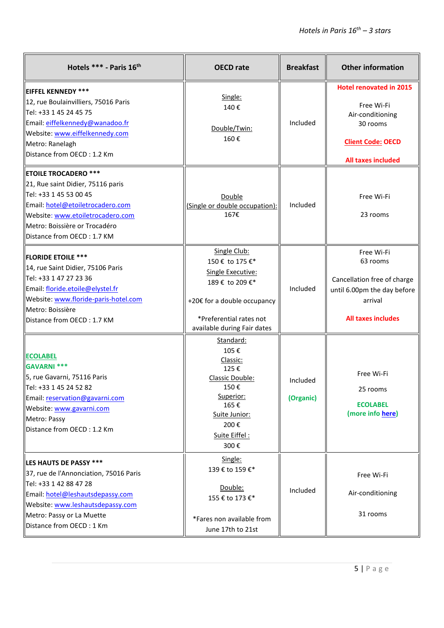| Hotels *** - Paris 16th                                                                                                                                                                                                            | <b>OECD</b> rate                                                                                                                                                 | <b>Breakfast</b>      | <b>Other information</b>                                                                                                              |
|------------------------------------------------------------------------------------------------------------------------------------------------------------------------------------------------------------------------------------|------------------------------------------------------------------------------------------------------------------------------------------------------------------|-----------------------|---------------------------------------------------------------------------------------------------------------------------------------|
| <b>IEIFFEL KENNEDY ***</b><br>12, rue Boulainvilliers, 75016 Paris<br>  Tel: +33 1 45 24 45 75<br>Email: eiffelkennedy@wanadoo.fr<br>Website: www.eiffelkennedy.com<br>Metro: Ranelagh<br>Distance from OECD: 1.2 Km               | Single:<br>140€<br>Double/Twin:<br>160€                                                                                                                          | Included              | <b>Hotel renovated in 2015</b><br>Free Wi-Fi<br>Air-conditioning<br>30 rooms<br><b>Client Code: OECD</b><br><b>All taxes included</b> |
| <b>ETOILE TROCADERO ***</b><br>21, Rue saint Didier, 75116 paris<br>Tel: +33 1 45 53 00 45<br>Email: hotel@etoiletrocadero.com<br>Website: www.etoiletrocadero.com<br>Metro: Boissière or Trocadéro<br>Distance from OECD: 1.7 KM  | Double<br>(Single or double occupation):<br>167€                                                                                                                 | Included              | Free Wi-Fi<br>23 rooms                                                                                                                |
| <b>FLORIDE ETOILE ***</b><br>14, rue Saint Didier, 75106 Paris<br>Tel: +33 1 47 27 23 36<br>Email: floride.etoile@elystel.fr<br>Website: www.floride-paris-hotel.com<br>Metro: Boissière<br>Distance from OECD: 1.7 KM             | Single Club:<br>150 € to 175 €*<br>Single Executive:<br>189 € to 209 €*<br>+20€ for a double occupancy<br>*Preferential rates not<br>available during Fair dates | Included              | Free Wi-Fi<br>63 rooms<br>Cancellation free of charge<br>until 6.00pm the day before<br>arrival<br><b>All taxes includes</b>          |
| <b>ECOLABEL</b><br>GAVARNI ***<br>5, rue Gavarni, 75116 Paris<br>Tel: +33 1 45 24 52 82<br>Email: reservation@gavarni.com<br>Website: www.gavarni.com<br>Metro: Passy<br>Distance from OECD: 1.2 Km                                | Standard:<br>105€<br>Classic:<br>125€<br>Classic Double:<br>150€<br>Superior:<br>165€<br>Suite Junior:<br>200€<br>Suite Eiffel:<br>300€                          | Included<br>(Organic) | Free Wi-Fi<br>25 rooms<br><b>ECOLABEL</b><br>(more info here)                                                                         |
| <b>LES HAUTS DE PASSY ***</b><br>37, rue de l'Annonciation, 75016 Paris<br>Tel: +33 1 42 88 47 28<br>Email: hotel@leshautsdepassy.com<br>Website: www.leshautsdepassy.com<br>Metro: Passy or La Muette<br>Distance from OECD: 1 Km | Single:<br>139 € to 159 €*<br>Double:<br>155 € to 173 €*<br>*Fares non available from<br>June 17th to 21st                                                       | Included              | Free Wi-Fi<br>Air-conditioning<br>31 rooms                                                                                            |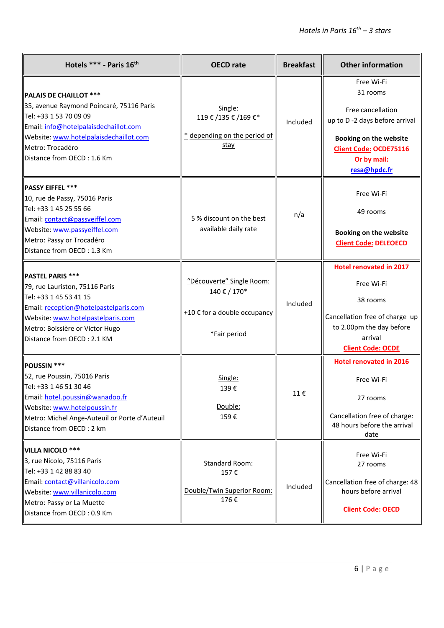| Hotels *** - Paris 16th                                                                                                                                                                                                                  | <b>OECD</b> rate                                                                          | <b>Breakfast</b> | <b>Other information</b>                                                                                                                                               |
|------------------------------------------------------------------------------------------------------------------------------------------------------------------------------------------------------------------------------------------|-------------------------------------------------------------------------------------------|------------------|------------------------------------------------------------------------------------------------------------------------------------------------------------------------|
| <b>PALAIS DE CHAILLOT ***</b><br>35, avenue Raymond Poincaré, 75116 Paris<br>Tel: +33 1 53 70 09 09<br>Email: info@hotelpalaisdechaillot.com<br>Website: www.hotelpalaisdechaillot.com<br>Metro: Trocadéro<br>Distance from OECD: 1.6 Km | Single:<br>119€/135€/169€*<br>* depending on the period of<br>stay                        | Included         | Free Wi-Fi<br>31 rooms<br>Free cancellation<br>up to D-2 days before arrival<br>Booking on the website<br><b>Client Code: OCDE75116</b><br>Or by mail:<br>resa@hpdc.fr |
| PASSY EIFFEL ***<br>10, rue de Passy, 75016 Paris<br>Tel: +33 1 45 25 55 66<br>Email: contact@passyeiffel.com<br>Website: www.passyeiffel.com<br>Metro: Passy or Trocadéro<br>Distance from OECD: 1.3 Km                                 | 5 % discount on the best<br>available daily rate                                          | n/a              | Free Wi-Fi<br>49 rooms<br><b>Booking on the website</b><br><b>Client Code: DELEOECD</b>                                                                                |
| <b>PASTEL PARIS ***</b><br>79, rue Lauriston, 75116 Paris<br>Tel: +33 1 45 53 41 15<br>Email: reception@hotelpastelparis.com<br>Website: www.hotelpastelparis.com<br>Metro: Boissière or Victor Hugo<br>Distance from OECD: 2.1 KM       | "Découverte" Single Room:<br>140 € / 170*<br>+10 € for a double occupancy<br>*Fair period | Included         | <b>Hotel renovated in 2017</b><br>Free Wi-Fi<br>38 rooms<br>Cancellation free of charge up<br>to 2.00pm the day before<br>arrival<br><b>Client Code: OCDE</b>          |
| POUSSIN ***<br>52, rue Poussin, 75016 Paris<br>llTel: +33 1 46 51 30 46<br>Email: hotel.poussin@wanadoo.fr<br>Website: www.hotelpoussin.fr<br>Metro: Michel Ange-Auteuil or Porte d'Auteuil<br>Distance from OECD : 2 km                 | Single:<br>139€<br>Double:<br>159€                                                        | 11€              | <b>Hotel renovated in 2016</b><br>Free Wi-Fi<br>27 rooms<br>Cancellation free of charge:<br>48 hours before the arrival<br>date                                        |
| VILLA NICOLO ***<br>3, rue Nicolo, 75116 Paris<br>Tel: +33 1 42 88 83 40<br>Email: contact@villanicolo.com<br>Website: www.villanicolo.com<br>Metro: Passy or La Muette<br>Distance from OECD: 0.9 Km                                    | Standard Room:<br>157€<br>Double/Twin Superior Room:<br>176€                              | Included         | Free Wi-Fi<br>27 rooms<br>Cancellation free of charge: 48<br>hours before arrival<br><b>Client Code: OECD</b>                                                          |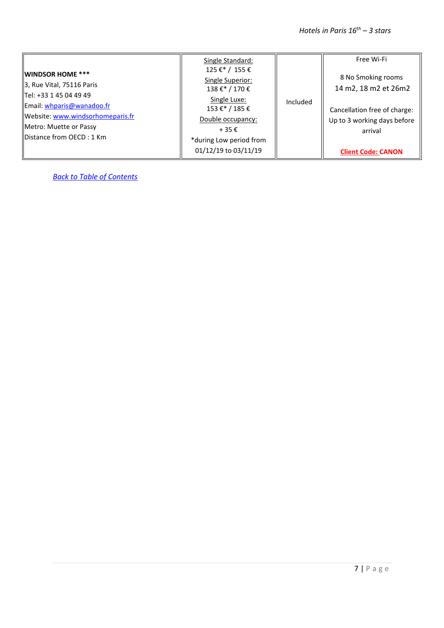|                                   | Single Standard:                   |          | Free Wi-Fi                   |
|-----------------------------------|------------------------------------|----------|------------------------------|
| <b>WINDSOR HOME ***</b>           | 125 €* / 155 €                     |          | 8 No Smoking rooms           |
| $\vert$ 3, Rue Vital, 75116 Paris | Single Superior:<br>138 €* / 170 € |          | 14 m2, 18 m2 et 26m2         |
| Tel: +33 1 45 04 49 49            | Single Luxe:                       |          |                              |
| Email: whparis@wanadoo.fr         | 153 €*/185 €                       | Included | Cancellation free of charge: |
| Website: www.windsorhomeparis.fr  | Double occupancy:                  |          | Up to 3 working days before  |
| Metro: Muette or Passy            | $+35 \epsilon$                     |          | arrival                      |
| <b>IDistance from OECD: 1 Km</b>  | *during Low period from            |          |                              |
|                                   | 01/12/19 to 03/11/19               |          | <b>Client Code: CANON</b>    |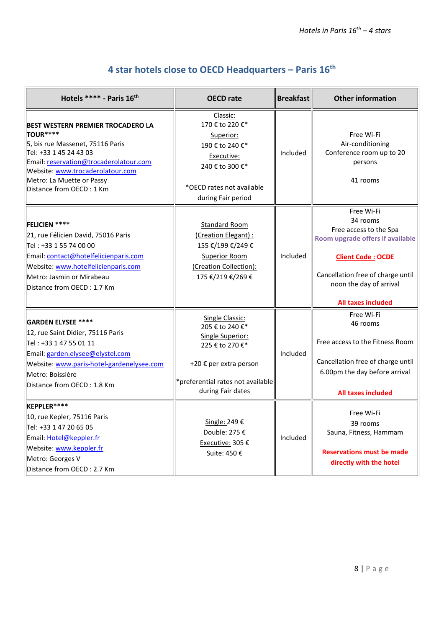<span id="page-7-0"></span>

| Hotels **** - Paris 16th                                                                                                                                                                                                                                         | <b>OECD</b> rate                                                                                                                                                     | <b>Breakfast</b> | <b>Other information</b>                                                                                                                                                                                      |
|------------------------------------------------------------------------------------------------------------------------------------------------------------------------------------------------------------------------------------------------------------------|----------------------------------------------------------------------------------------------------------------------------------------------------------------------|------------------|---------------------------------------------------------------------------------------------------------------------------------------------------------------------------------------------------------------|
| <b>BEST WESTERN PREMIER TROCADERO LA</b><br><b>TOUR****</b><br>5, bis rue Massenet, 75116 Paris<br>Tel: +33 1 45 24 43 03<br>Email: reservation@trocaderolatour.com<br>Website: www.trocaderolatour.com<br>Metro: La Muette or Passy<br>Distance from OECD: 1 Km | Classic:<br>170 € to 220 €*<br>Superior:<br>190 € to 240 €*<br>Executive:<br>240 € to 300 €*<br>*OECD rates not available<br>during Fair period                      | Included         | Free Wi-Fi<br>Air-conditioning<br>Conference room up to 20<br>persons<br>41 rooms                                                                                                                             |
| <b>FELICIEN ****</b><br>21, rue Félicien David, 75016 Paris<br>Tel: +33 1 55 74 00 00<br>Email: contact@hotelfelicienparis.com<br>Website: www.hotelfelicienparis.com<br>Metro: Jasmin or Mirabeau<br>Distance from OECD: 1.7 Km                                 | <b>Standard Room</b><br>(Creation Elegant) :<br>155 €/199 €/249 €<br><b>Superior Room</b><br>(Creation Collection):<br>175 €/219 €/269 €                             | Included         | Free Wi-Fi<br>34 rooms<br>Free access to the Spa<br>Room upgrade offers if available<br><b>Client Code: OCDE</b><br>Cancellation free of charge until<br>noon the day of arrival<br><b>All taxes included</b> |
| <b>GARDEN ELYSEE ****</b><br>12, rue Saint Didier, 75116 Paris<br>Tel: +33 1 47 55 01 11<br>Email: garden.elysee@elystel.com<br>Website: www.paris-hotel-gardenelysee.com<br>Metro: Boissière<br>Distance from OECD: 1.8 Km                                      | <b>Single Classic:</b><br>205 € to 240 €*<br>Single Superior:<br>225 € to 270 €*<br>+20 € per extra person<br>*preferential rates not available<br>during Fair dates | Included         | Free Wi-Fi<br>46 rooms<br>Free access to the Fitness Room<br>Cancellation free of charge until<br>6.00pm the day before arrival<br><b>All taxes included</b>                                                  |
| KEPPLER****<br>10, rue Kepler, 75116 Paris<br>Tel: +33 1 47 20 65 05<br>Email: Hotel@keppler.fr<br>Website: www.keppler.fr<br>Metro: Georges V<br>Distance from OECD: 2.7 Km                                                                                     | Single: 249 €<br>Double: 275 €<br>Executive: 305 €<br>Suite: 450 €                                                                                                   | Included         | Free Wi-Fi<br>39 rooms<br>Sauna, Fitness, Hammam<br><b>Reservations must be made</b><br>directly with the hotel                                                                                               |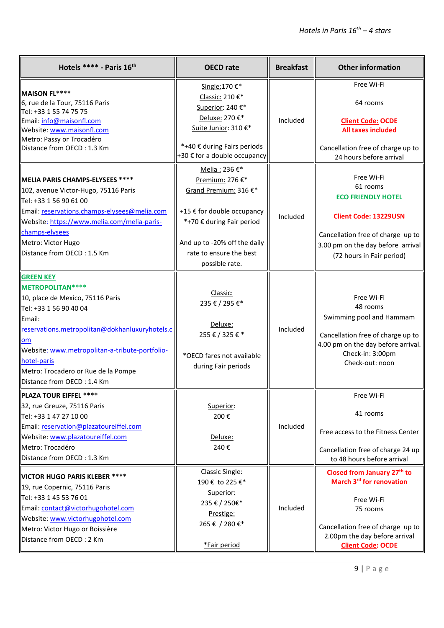| Hotels **** - Paris 16th                                                                                                                                                                                                                                                                                    | <b>OECD</b> rate                                                                                                                                                                                  | <b>Breakfast</b> | <b>Other information</b>                                                                                                                                                                                    |
|-------------------------------------------------------------------------------------------------------------------------------------------------------------------------------------------------------------------------------------------------------------------------------------------------------------|---------------------------------------------------------------------------------------------------------------------------------------------------------------------------------------------------|------------------|-------------------------------------------------------------------------------------------------------------------------------------------------------------------------------------------------------------|
| MAISON FL****<br>6, rue de la Tour, 75116 Paris<br>Tel: +33 1 55 74 75 75<br>Email: info@maisonfl.com<br>Website: www.maisonfl.com<br>Metro: Passy or Trocadéro<br>Distance from OECD: 1.3 Km                                                                                                               | Single: 170 €*<br>Classic: 210 €*<br>Superior: 240€*<br>Deluxe: 270 €*<br>Suite Junior: 310 €*<br>*+40 € during Fairs periods<br>+30 € for a double occupancy                                     | Included         | Free Wi-Fi<br>64 rooms<br><b>Client Code: OCDE</b><br><b>All taxes included</b><br>Cancellation free of charge up to<br>24 hours before arrival                                                             |
| MELIA PARIS CHAMPS-ELYSEES ****<br>102, avenue Victor-Hugo, 75116 Paris<br>Tel: +33 1 56 90 61 00<br>Email: reservations.champs-elysees@melia.com<br>Website: https://www.melia.com/melia-paris-<br>champs-elysees<br>Metro: Victor Hugo<br>Distance from OECD: 1.5 Km                                      | Melia: 236 €*<br>Premium: 276 €*<br>Grand Premium: 316 €*<br>+15 € for double occupancy<br>*+70 € during Fair period<br>And up to -20% off the daily<br>rate to ensure the best<br>possible rate. | Included         | Free Wi-Fi<br>61 rooms<br><b>ECO FRIENDLY HOTEL</b><br><b>Client Code: 13229USN</b><br>Cancellation free of charge up to<br>3.00 pm on the day before arrival<br>(72 hours in Fair period)                  |
| <b>GREEN KEY</b><br>METROPOLITAN ****<br>10, place de Mexico, 75116 Paris<br>Tel: +33 1 56 90 40 04<br>Email:<br>reservations.metropolitan@dokhanluxuryhotels.c<br>om<br>Website: www.metropolitan-a-tribute-portfolio-<br>hotel-paris<br>Metro: Trocadero or Rue de la Pompe<br>Distance from OECD: 1.4 Km | Classic:<br>235 € / 295 €*<br>Deluxe:<br>255€/325€*<br>*OECD fares not available<br>during Fair periods                                                                                           | Included         | Free Wi-Fi<br>48 rooms<br>Swimming pool and Hammam<br>Cancellation free of charge up to<br>4.00 pm on the day before arrival.<br>Check-in: 3:00pm<br>Check-out: noon                                        |
| PLAZA TOUR EIFFEL ****<br>32, rue Greuze, 75116 Paris<br>Tel: +33 1 47 27 10 00<br>Email: reservation@plazatoureiffel.com<br>Website: www.plazatoureiffel.com<br>Metro: Trocadéro<br>Distance from OECD: 1.3 Km                                                                                             | Superior:<br>200€<br>Deluxe:<br>240€                                                                                                                                                              | Included         | Free Wi-Fi<br>41 rooms<br>Free access to the Fitness Center<br>Cancellation free of charge 24 up<br>to 48 hours before arrival                                                                              |
| VICTOR HUGO PARIS KLEBER ****<br>19, rue Copernic, 75116 Paris<br>Tel: +33 1 45 53 76 01<br>Email: contact@victorhugohotel.com<br>Website: www.victorhugohotel.com<br>Metro: Victor Hugo or Boissière<br>Distance from OECD: 2 Km                                                                           | <b>Classic Single:</b><br>190 € to 225 €*<br>Superior:<br>235 € / 250€*<br>Prestige:<br>265€/280€*<br>*Fair period                                                                                | Included         | Closed from January 27 <sup>th</sup> to<br>March 3 <sup>rd</sup> for renovation<br>Free Wi-Fi<br>75 rooms<br>Cancellation free of charge up to<br>2.00pm the day before arrival<br><b>Client Code: OCDE</b> |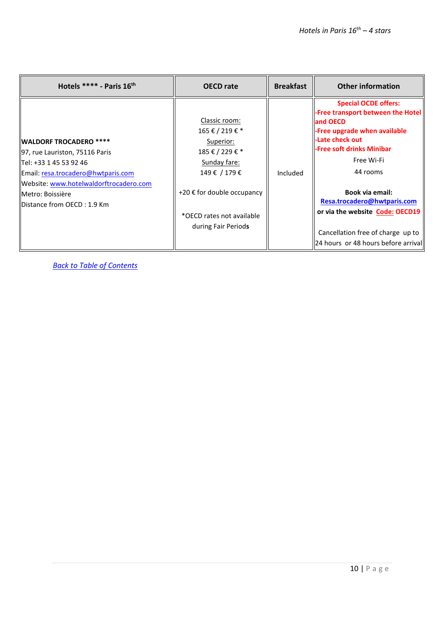| Hotels **** - Paris $16th$                                                                                                                                                                                                                     | <b>OECD</b> rate                                                                                                                                                                             | <b>Breakfast</b> | <b>Other information</b>                                                                                                                                                                                                                                                                                                                                 |
|------------------------------------------------------------------------------------------------------------------------------------------------------------------------------------------------------------------------------------------------|----------------------------------------------------------------------------------------------------------------------------------------------------------------------------------------------|------------------|----------------------------------------------------------------------------------------------------------------------------------------------------------------------------------------------------------------------------------------------------------------------------------------------------------------------------------------------------------|
| <b>IWALDORF TROCADERO *****</b><br>97, rue Lauriston, 75116 Paris<br>Tel: +33 1 45 53 92 46<br>Email: resa.trocadero@hwtparis.com<br>Website: www.hotelwaldorftrocadero.com<br><b>IIMetro: Boissière</b><br><b>IDistance from OECD: 1.9 Km</b> | Classic room:<br>165 € / 219 € *<br>Superior:<br>185 € / 229 € *<br>Sunday fare:<br>149 € / 179 €<br>+20 $\epsilon$ for double occupancy<br>*OECD rates not available<br>during Fair Periods | Included         | <b>Special OCDE offers:</b><br>Free transport between the Hotel<br>and OECD<br>-Free upgrade when available<br>-Late check out<br>-Free soft drinks Minibar<br>Free Wi-Fi<br>44 rooms<br>Book via email:<br>Resa.trocadero@hwtparis.com<br>or via the website Code: OECD19<br>Cancellation free of charge up to<br>  24 hours or 48 hours before arrival |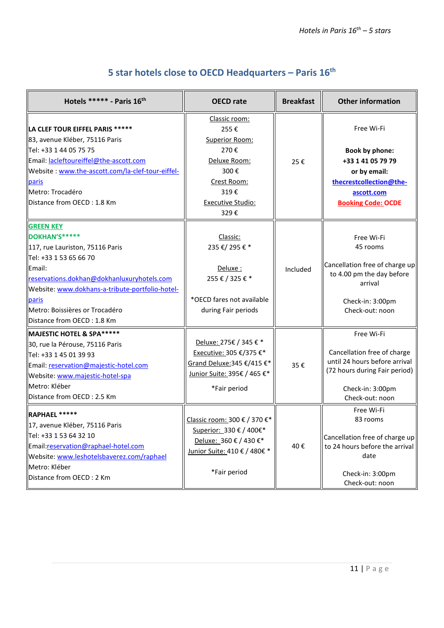<span id="page-10-0"></span>

| Hotels ***** - Paris 16th                                                                                                                                                                                                                                                          | <b>OECD</b> rate                                                                                                                   | <b>Breakfast</b> | <b>Other information</b>                                                                                                                           |
|------------------------------------------------------------------------------------------------------------------------------------------------------------------------------------------------------------------------------------------------------------------------------------|------------------------------------------------------------------------------------------------------------------------------------|------------------|----------------------------------------------------------------------------------------------------------------------------------------------------|
| LA CLEF TOUR EIFFEL PARIS *****<br>83, avenue Kléber, 75116 Paris<br>Tel: +33 1 44 05 75 75<br>Email: lacleftoureiffel@the-ascott.com<br>Website: www.the-ascott.com/la-clef-tour-eiffel-<br>paris<br>Metro: Trocadéro<br>Distance from OECD: 1.8 Km                               | Classic room:<br>255€<br>Superior Room:<br>270€<br>Deluxe Room:<br>300€<br>Crest Room:<br>319€<br><b>Executive Studio:</b><br>329€ | 25€              | Free Wi-Fi<br><b>Book by phone:</b><br>+33 1 41 05 79 79<br>or by email:<br>thecrestcollection@the-<br>ascott.com<br><b>Booking Code: OCDE</b>     |
| <b>GREEN KEY</b><br>DOKHAN'S*****<br>117, rue Lauriston, 75116 Paris<br>Tel: +33 1 53 65 66 70<br>Email:<br>reservations.dokhan@dokhanluxuryhotels.com<br>Website: www.dokhans-a-tribute-portfolio-hotel-<br>paris<br>Metro: Boissières or Trocadéro<br>Distance from OECD: 1.8 Km | Classic:<br>235 €/ 295 € *<br>Deluxe:<br>255 € / 325 € *<br>*OECD fares not available<br>during Fair periods                       | Included         | Free Wi-Fi<br>45 rooms<br>Cancellation free of charge up<br>to 4.00 pm the day before<br>arrival<br>Check-in: 3:00pm<br>Check-out: noon            |
| MAJESTIC HOTEL & SPA*****<br>30, rue la Pérouse, 75116 Paris<br>Tel: +33 1 45 01 39 93<br>Email: reservation@majestic-hotel.com<br>Website: www.majestic-hotel-spa<br>Metro: Kléber<br>Distance from OECD: 2.5 Km                                                                  | Deluxe: 275€ / 345 € *<br>Executive: 305 €/375 €*<br>Grand Deluxe: 345 €/415 €*<br>Junior Suite: 395€ / 465 €*<br>*Fair period     | 35€              | Free Wi-Fi<br>Cancellation free of charge<br>until 24 hours before arrival<br>(72 hours during Fair period)<br>Check-in: 3:00pm<br>Check-out: noon |
| RAPHAEL *****<br>17, avenue Kléber, 75116 Paris<br>Tel: +33 1 53 64 32 10<br>Email:reservation@raphael-hotel.com<br>Website: www.leshotelsbaverez.com/raphael<br>Metro: Kléber<br>Distance from OECD: 2 Km                                                                         | Classic room: 300 € / 370 €*<br>Superior: 330 € / 400€*<br>Deluxe: 360 € / 430 €*<br>Junior Suite: 410 € / 480€ *<br>*Fair period  | 40€              | Free Wi-Fi<br>83 rooms<br>Cancellation free of charge up<br>to 24 hours before the arrival<br>date<br>Check-in: 3:00pm<br>Check-out: noon          |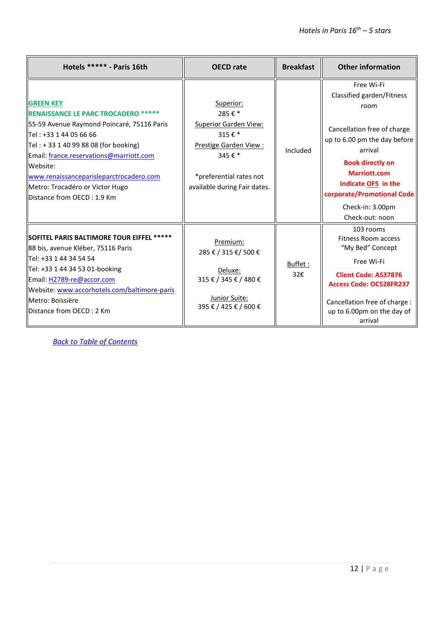| Hotels ****** - Paris 16th                                                                                                                                                                                                                                                                                                                                     | <b>OECD</b> rate                                                                                                                                         | <b>Breakfast</b> | <b>Other information</b>                                                                                                                                                                                                                                                |
|----------------------------------------------------------------------------------------------------------------------------------------------------------------------------------------------------------------------------------------------------------------------------------------------------------------------------------------------------------------|----------------------------------------------------------------------------------------------------------------------------------------------------------|------------------|-------------------------------------------------------------------------------------------------------------------------------------------------------------------------------------------------------------------------------------------------------------------------|
| <b>GREEN KEY</b><br><b>RENAISSANCE LE PARC TROCADERO *****</b><br>55-59 Avenue Raymond Poincaré, 75116 Paris<br>llTel : +33 1 44 05 66 66<br>$\vert$ Tel : + 33 1 40 99 88 08 (for booking)<br>Email: france.reservations@marriott.com<br>Website:<br>www.renaissanceparisleparctrocadero.com<br>Metro: Trocadéro or Victor Hugo<br>Distance from OECD: 1.9 Km | Superior:<br>285€*<br><b>Superior Garden View:</b><br>315€*<br>Prestige Garden View:<br>345€*<br>*preferential rates not<br>available during Fair dates. | Included         | Free Wi-Fi<br>Classified garden/Fitness<br>room<br>Cancellation free of charge<br>up to 6.00 pm the day before<br>arrival<br><b>Book directly on</b><br><b>Marriott.com</b><br>Indicate OF5 in the<br>corporate/Promotional Code<br>Check-in: 3.00pm<br>Check-out: noon |
| SOFITEL PARIS BALTIMORE TOUR EIFFEL *****<br>88 bis, avenue Kléber, 75116 Paris<br>llTel: +33 1 44 34 54 54<br>Tel: +33 1 44 34 53 01-booking<br>Email: H2789-re@accor.com<br>Website: www.accorhotels.com/baltimore-paris<br>llMetro: Boissière<br>llDistance from OECD : 2 Km                                                                                | Premium:<br>285 € / 315 €/ 500 €<br>Deluxe:<br>315 € / 345 € / 480 €<br>Junior Suite:<br>395 € / 425 € / 600 €                                           | Buffet:<br>32€   | 103 rooms<br><b>Fitness Room access</b><br>"My Bed" Concept<br>Free Wi-Fi<br><b>Client Code: AS37876</b><br><b>Access Code: OC528FR237</b><br>Cancellation free of charge :<br>up to 6.00pm on the day of<br>arrival                                                    |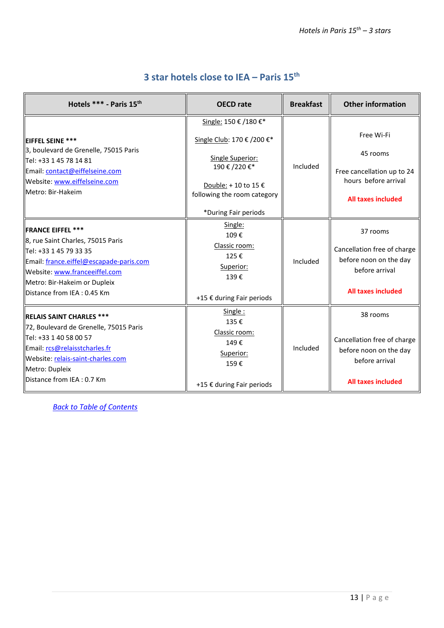#### **3 star hotels close to IEA – Paris 15th**

<span id="page-12-0"></span>

| Hotels *** - Paris 15th                                                                                                                                                                                                               | <b>OECD</b> rate                                                                                                                                                       | <b>Breakfast</b> | <b>Other information</b>                                                                                         |
|---------------------------------------------------------------------------------------------------------------------------------------------------------------------------------------------------------------------------------------|------------------------------------------------------------------------------------------------------------------------------------------------------------------------|------------------|------------------------------------------------------------------------------------------------------------------|
| <b>IEIFFEL SEINE ***</b><br>3, boulevard de Grenelle, 75015 Paris<br>llTel: +33 1 45 78 14 81<br>Email: contact@eiffelseine.com<br>Website: www.eiffelseine.com<br>Metro: Bir-Hakeim                                                  | Single: 150 € /180 €*<br>Single Club: 170 € /200 €*<br>Single Superior:<br>190 € /220 €*<br>Double: +10 to 15 €<br>following the room category<br>*During Fair periods | Included         | Free Wi-Fi<br>45 rooms<br>Free cancellation up to 24<br>hours before arrival<br><b>All taxes included</b>        |
| <b>IFRANCE EIFFEL ***</b><br>8, rue Saint Charles, 75015 Paris<br>  Tel: +33 1 45 79 33 35<br>Email: france.eiffel@escapade-paris.com<br>Website: www.franceeiffel.com<br>Metro: Bir-Hakeim or Dupleix<br>Distance from IEA : 0.45 Km | Single:<br>109€<br>Classic room:<br>125€<br>Superior:<br>139€<br>+15 € during Fair periods                                                                             | Included         | 37 rooms<br>Cancellation free of charge<br>before noon on the day<br>before arrival<br><b>All taxes included</b> |
| <b>IRELAIS SAINT CHARLES ***</b><br>72, Boulevard de Grenelle, 75015 Paris<br>Tel: +33 1 40 58 00 57<br>Email: rcs@relaisstcharles.fr<br>Website: relais-saint-charles.com<br>Metro: Dupleix<br><b>IDistance from IEA: 0.7 Km</b>     | Single:<br>135€<br>Classic room:<br>149€<br>Superior:<br>159€<br>+15 € during Fair periods                                                                             | Included         | 38 rooms<br>Cancellation free of charge<br>before noon on the day<br>before arrival<br><b>All taxes included</b> |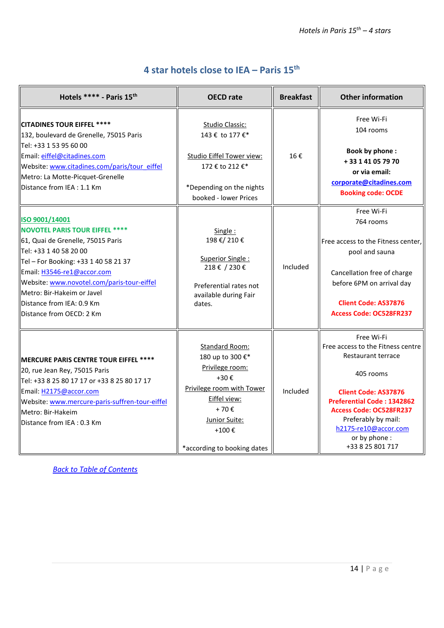## **4 star hotels close to IEA – Paris 15th**

<span id="page-13-0"></span>

| Hotels **** - Paris 15th                                                                                                                                                                                                                                                                                                          | <b>OECD</b> rate                                                                                                                                                                                    | <b>Breakfast</b> | <b>Other information</b>                                                                                                                                                                                                                                                    |
|-----------------------------------------------------------------------------------------------------------------------------------------------------------------------------------------------------------------------------------------------------------------------------------------------------------------------------------|-----------------------------------------------------------------------------------------------------------------------------------------------------------------------------------------------------|------------------|-----------------------------------------------------------------------------------------------------------------------------------------------------------------------------------------------------------------------------------------------------------------------------|
| <b>CITADINES TOUR EIFFEL ****</b><br>132, boulevard de Grenelle, 75015 Paris<br>Tel: +33 1 53 95 60 00<br>Email: eiffel@citadines.com<br>Website: www.citadines.com/paris/tour_eiffel<br>Metro: La Motte-Picquet-Grenelle<br>Distance from IEA: 1.1 Km                                                                            | <b>Studio Classic:</b><br>143 € to 177 €*<br><b>Studio Eiffel Tower view:</b><br>172 € to 212 €*<br>*Depending on the nights<br>booked - lower Prices                                               | 16€              | Free Wi-Fi<br>104 rooms<br><b>Book by phone:</b><br>+33 1 41 05 79 70<br>or via email:<br>corporate@citadines.com<br><b>Booking code: OCDE</b>                                                                                                                              |
| ISO 9001/14001<br><b>NOVOTEL PARIS TOUR EIFFEL ****</b><br>61, Quai de Grenelle, 75015 Paris<br>Tel: +33 1 40 58 20 00<br>Tel - For Booking: +33 1 40 58 21 37<br>Email: H3546-re1@accor.com<br>Website: www.novotel.com/paris-tour-eiffel<br>Metro: Bir-Hakeim or Javel<br>Distance from IEA: 0.9 Km<br>Distance from OECD: 2 Km | Single:<br>198 €/ 210 €<br>Superior Single:<br>218€/230€<br>Preferential rates not<br>available during Fair<br>dates.                                                                               | Included         | Free Wi-Fi<br>764 rooms<br>Free access to the Fitness center,<br>pool and sauna<br>Cancellation free of charge<br>before 6PM on arrival day<br><b>Client Code: AS37876</b><br>Access Code: OC528FR237                                                                       |
| MERCURE PARIS CENTRE TOUR EIFFEL ****<br>20, rue Jean Rey, 75015 Paris<br>Tel: +33 8 25 80 17 17 or +33 8 25 80 17 17<br>Email: H2175@accor.com<br>Website: www.mercure-paris-suffren-tour-eiffel<br>Metro: Bir-Hakeim<br>Distance from IEA: 0.3 Km                                                                               | Standard Room:<br>180 up to 300 €*<br>Privilege room:<br>$+30 \text{ } \in$<br>Privilege room with Tower<br>Eiffel view:<br>$+70 \epsilon$<br>Junior Suite:<br>+100€<br>*according to booking dates | Included         | Free Wi-Fi<br>Free access to the Fitness centre<br>Restaurant terrace<br>405 rooms<br><b>Client Code: AS37876</b><br><b>Preferential Code: 1342862</b><br><b>Access Code: OC528FR237</b><br>Preferably by mail:<br>h2175-re10@accor.com<br>or by phone:<br>+33 8 25 801 717 |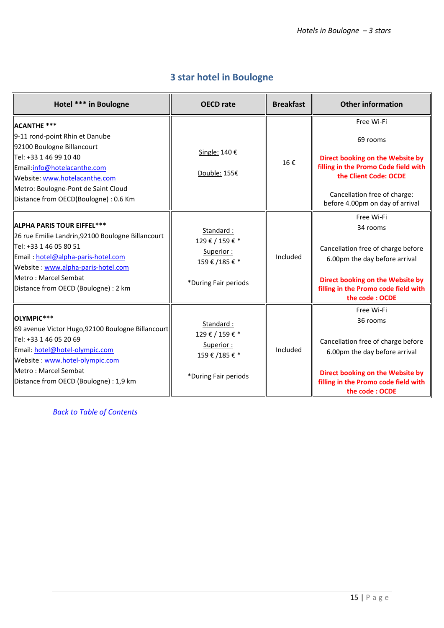### **3 star hotel in Boulogne**

<span id="page-14-0"></span>

| Hotel *** in Boulogne                                                                                                                                                                                                                                             | <b>OECD</b> rate                                                           | <b>Breakfast</b> | <b>Other information</b>                                                                                                                                                                       |
|-------------------------------------------------------------------------------------------------------------------------------------------------------------------------------------------------------------------------------------------------------------------|----------------------------------------------------------------------------|------------------|------------------------------------------------------------------------------------------------------------------------------------------------------------------------------------------------|
| <b>ACANTHE ***</b><br>9-11 rond-point Rhin et Danube<br>92100 Boulogne Billancourt<br>llTel: +33 1 46 99 10 40<br>Email:info@hotelacanthe.com<br>Website: www.hotelacanthe.com<br>Metro: Boulogne-Pont de Saint Cloud<br>Distance from OECD(Boulogne): 0.6 Km     | Single: 140 €<br>Double: 155€                                              | 16€              | Free Wi-Fi<br>69 rooms<br>Direct booking on the Website by<br>filling in the Promo Code field with<br>the Client Code: OCDE<br>Cancellation free of charge:<br>before 4.00pm on day of arrival |
| <b>ALPHA PARIS TOUR EIFFEL***</b><br>26 rue Emilie Landrin, 92100 Boulogne Billancourt<br>  Tel: +33 1 46 05 80 51<br>Email: hotel@alpha-paris-hotel.com<br>Website: www.alpha-paris-hotel.com<br>llMetro : Marcel Sembat<br>Distance from OECD (Boulogne) : 2 km | Standard:<br>129€/159€*<br>Superior:<br>159€/185€*<br>*During Fair periods | Included         | Free Wi-Fi<br>34 rooms<br>Cancellation free of charge before<br>6.00pm the day before arrival<br>Direct booking on the Website by<br>filling in the Promo code field with<br>the code: OCDE    |
| <b>OLYMPIC***</b><br>69 avenue Victor Hugo, 92100 Boulogne Billancourt<br>  Tel: +33 1 46 05 20 69<br>Email: hotel@hotel-olympic.com<br>Website: www.hotel-olympic.com<br>llMetro : Marcel Sembat<br>Distance from OECD (Boulogne) : 1,9 km                       | Standard:<br>129€/159€*<br>Superior:<br>159€/185€*<br>*During Fair periods | Included         | Free Wi-Fi<br>36 rooms<br>Cancellation free of charge before<br>6.00pm the day before arrival<br>Direct booking on the Website by<br>filling in the Promo code field with<br>the code: OCDE    |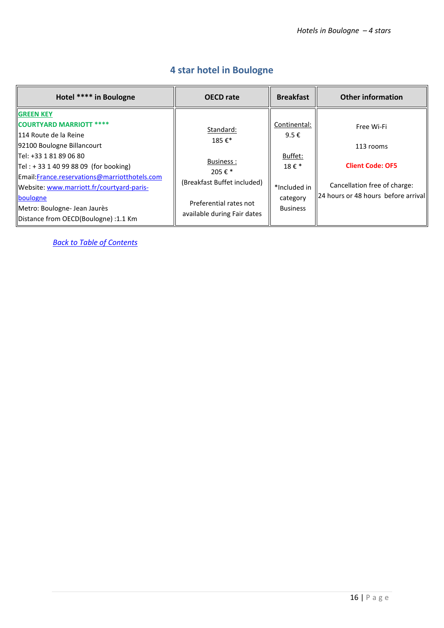<span id="page-15-0"></span>

| Hotel **** in Boulogne                                                                                                                                                                                                                                                                                                                                            | <b>OECD</b> rate                                                                                                                     | <b>Breakfast</b>                                                                                 | <b>Other information</b>                                                                                                  |
|-------------------------------------------------------------------------------------------------------------------------------------------------------------------------------------------------------------------------------------------------------------------------------------------------------------------------------------------------------------------|--------------------------------------------------------------------------------------------------------------------------------------|--------------------------------------------------------------------------------------------------|---------------------------------------------------------------------------------------------------------------------------|
| <b>GREEN KEY</b><br><b>COURTYARD MARRIOTT ****</b><br>114 Route de la Reine<br>92100 Boulogne Billancourt<br>lTel: +33 1 81 89 06 80<br>$Tel: + 33 1 40 99 88 09$ (for booking)<br>Email: France.reservations@marriotthotels.com<br>Website: www.marriott.fr/courtyard-paris-<br>boulogne<br>Metro: Boulogne- Jean Jaurès<br>Distance from OECD(Boulogne) :1.1 Km | Standard:<br>185€*<br>Business:<br>205 € $*$<br>(Breakfast Buffet included)<br>Preferential rates not<br>available during Fair dates | Continental:<br>9.5 $\epsilon$<br>Buffet:<br>18€*<br>*Included in<br>category<br><b>Business</b> | Free Wi-Fi<br>113 rooms<br><b>Client Code: OF5</b><br>Cancellation free of charge:<br>24 hours or 48 hours before arrival |

## **4 star hotel in Boulogne**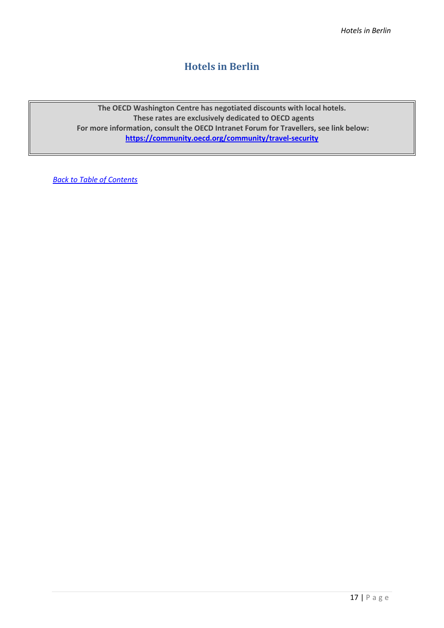#### **Hotels in Berlin**

<span id="page-16-0"></span>**The OECD Washington Centre has negotiated discounts with local hotels. These rates are exclusively dedicated to OECD agents For more information, consult the OECD Intranet Forum for Travellers, see link below: <https://community.oecd.org/community/travel-security>**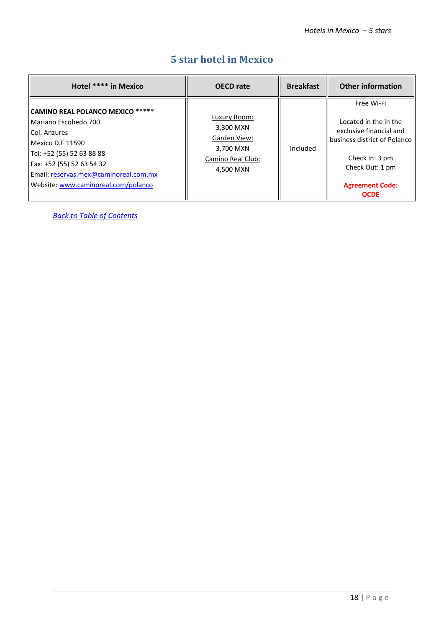<span id="page-17-0"></span>

| Hotel **** in Mexico                                                                                                                                                                                                                   | <b>OECD</b> rate                                                                         | <b>Breakfast</b> | <b>Other information</b>                                                                                                                                                     |
|----------------------------------------------------------------------------------------------------------------------------------------------------------------------------------------------------------------------------------------|------------------------------------------------------------------------------------------|------------------|------------------------------------------------------------------------------------------------------------------------------------------------------------------------------|
| CAMINO REAL POLANCO MEXICO *****<br>Mariano Escobedo 700<br>Col. Anzures<br>Mexico D.F 11590<br>Tel: +52 (55) 52 63 88 88<br>Fax: +52 (55) 52 63 54 32<br>Email: reservas.mex@caminoreal.com.mx<br>Website: www.caminoreal.com/polanco | Luxury Room:<br>3,300 MXN<br>Garden View:<br>3,700 MXN<br>Camino Real Club:<br>4.500 MXN | Included         | Free Wi-Fi<br>Located in the in the<br>exclusive financial and<br>business district of Polanco<br>Check In: 3 pm<br>Check Out: 1 pm<br><b>Agreement Code:</b><br><b>OCDE</b> |

### **5 star hotel in Mexico**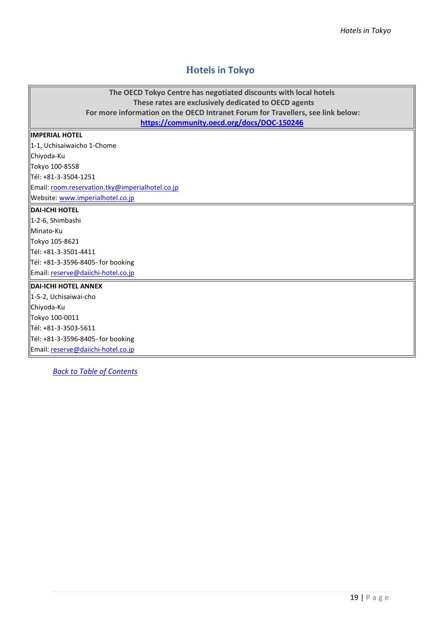### <span id="page-18-0"></span>**Hotels in Tokyo**

| The OECD Tokyo Centre has negotiated discounts with local hotels<br>These rates are exclusively dedicated to OECD agents      |
|-------------------------------------------------------------------------------------------------------------------------------|
| For more information on the OECD Intranet Forum for Travellers, see link below:<br>https://community.oecd.org/docs/DOC-150246 |
| <b>IMPERIAL HOTEL</b>                                                                                                         |
| 1-1, Uchisaiwaicho 1-Chome                                                                                                    |
| Chiyoda-Ku                                                                                                                    |
| Tokyo 100-8558                                                                                                                |
| Tél: +81-3-3504-1251                                                                                                          |
| Email: room.reservation.tky@imperialhotel.co.jp                                                                               |
| Website: www.imperialhotel.co.jp                                                                                              |
| <b>DAI-ICHI HOTEL</b>                                                                                                         |
| 1-2-6, Shimbashi                                                                                                              |
| Minato-Ku                                                                                                                     |
| Tokyo 105-8621                                                                                                                |
| Tél: +81-3-3501-4411                                                                                                          |
| Tél: +81-3-3596-8405- for booking                                                                                             |
| Email: reserve@daiichi-hotel.co.jp                                                                                            |
| <b>DAI-ICHI HOTEL ANNEX</b>                                                                                                   |
| 1-5-2, Uchisaiwai-cho                                                                                                         |
| Chiyoda-Ku                                                                                                                    |
| Tokyo 100-0011                                                                                                                |
| Tél: +81-3-3503-5611                                                                                                          |
| Tél: +81-3-3596-8405- for booking                                                                                             |
| Email: reserve@daiichi-hotel.co.jp                                                                                            |
|                                                                                                                               |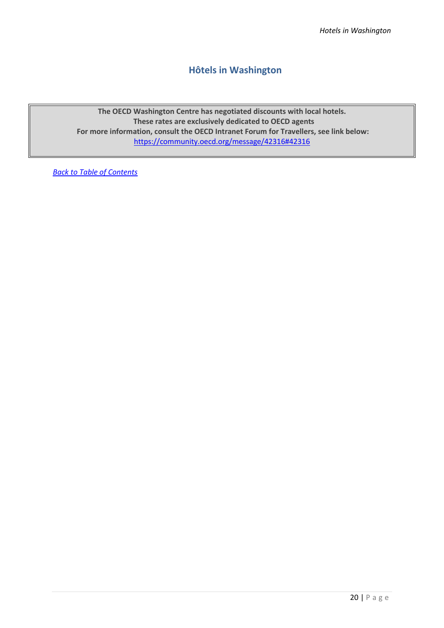#### <span id="page-19-0"></span>**Hôtels in Washington**

**The OECD Washington Centre has negotiated discounts with local hotels. These rates are exclusively dedicated to OECD agents For more information, consult the OECD Intranet Forum for Travellers, see link below:** <https://community.oecd.org/message/42316#42316>